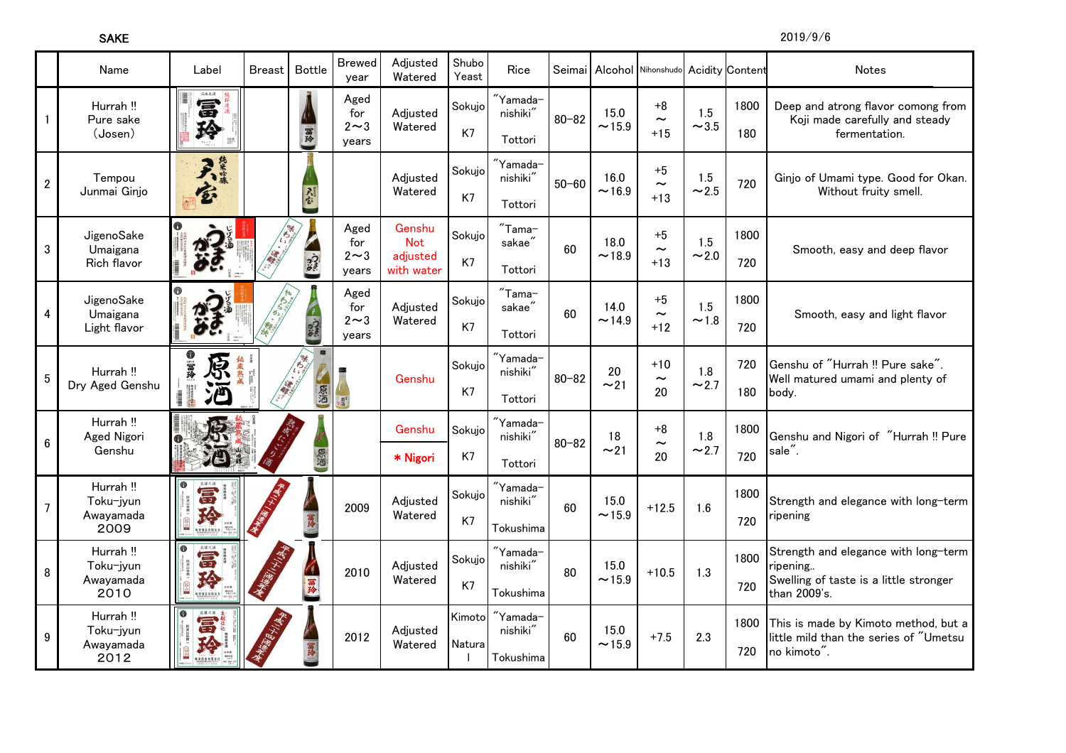SAKE

2019/9/6

|                  | Name                                        | Label                                                                                                                                 | Breast | <b>Bottle</b> | <b>Brewed</b><br>year              | Adjusted<br>Watered                            | Shubo<br>Yeast   | Rice                                                 | Seimai    |                 | Alcohol Nihonshudo Acidity Content     |                    |             | <b>Notes</b>                                                                                               |
|------------------|---------------------------------------------|---------------------------------------------------------------------------------------------------------------------------------------|--------|---------------|------------------------------------|------------------------------------------------|------------------|------------------------------------------------------|-----------|-----------------|----------------------------------------|--------------------|-------------|------------------------------------------------------------------------------------------------------------|
| $\mathbf{1}$     | Hurrah !!<br>Pure sake<br>(Josen)           | 后援之涌<br>富玲                                                                                                                            |        | 冨玲            | Aged<br>for<br>$2 \sim 3$<br>years | Adjusted<br>Watered                            | Sokujo<br>K7     | "Yamada-<br>nishiki"<br>Tottori                      | $80 - 82$ | 15.0<br>~15.9   | $+8$<br>$\sim$<br>$+15$                | 1.5<br>$~1$ $~3.5$ | 1800<br>180 | Deep and atrong flavor comong from<br>Koji made carefully and steady<br>fermentation.                      |
| $\sqrt{2}$       | Tempou<br>Junmai Ginjo                      | 异義<br>会                                                                                                                               |        | 灵宝            |                                    | Adjusted<br>Watered                            | Sokujo<br>K7     | $"Yamada^-$<br>nishiki"<br>Tottori                   | $50 - 60$ | 16.0<br>~16.9   | $+5$<br>$\thicksim$<br>$+13$           | 1.5<br>~2.5        | 720         | Ginjo of Umami type. Good for Okan.<br>Without fruity smell.                                               |
| $\mathbf 3$      | JigenoSake<br>Umaigana<br>Rich flavor       |                                                                                                                                       |        |               | Aged<br>for<br>$2 \sim 3$<br>years | Genshu<br><b>Not</b><br>adjusted<br>with water | Sokujo<br>K7     | $"Tama-$<br>sakae"<br>Tottori                        | 60        | 18.0<br>~18.9   | $+5$<br>$\thicksim$<br>$+13$           | 1.5<br>~2.0        | 1800<br>720 | Smooth, easy and deep flavor                                                                               |
| 4                | JigenoSake<br>Umaigana<br>Light flavor      | <b>n</b>                                                                                                                              |        | 7F            | Aged<br>for<br>$2 \sim 3$<br>years | Adjusted<br>Watered                            | Sokujo<br>K7     | $\mathrm{''T}$ ama $\mathrm{-}$<br>sakae"<br>Tottori | 60        | 14.0<br>~14.9   | $+5$<br>$\tilde{\phantom{a}}$<br>$+12$ | 1.5<br>~1.8        | 1800<br>720 | Smooth, easy and light flavor                                                                              |
| $\overline{5}$   | Hurrah !!<br>Dry Aged Genshu                | ❶ 富玲<br>原<br>ン凹                                                                                                                       | 秘藏熟    | 原酒            | Siste                              | Genshu                                         | Sokujo<br>K7     | $"Yamada-$<br>nishiki"<br>Tottori                    | $80 - 82$ | 20<br>$\sim$ 21 | $+10$<br>$\tilde{\phantom{a}}$<br>20   | 1.8<br>$\sim$ 2.7  | 720<br>180  | Genshu of "Hurrah !! Pure sake".<br>Well matured umami and plenty of<br>body.                              |
| $\boldsymbol{6}$ | Hurrah !!<br>Aged Nigori<br>Genshu          | $\bullet$                                                                                                                             |        | 原酒            |                                    | Genshu<br>* Nigori                             | Sokujo<br>K7     | $"Yamada^-$<br>nishiki <sup>"</sup><br>Tottori       | $80 - 82$ | 18<br>~21       | $+8$<br>$\tilde{\phantom{a}}$<br>20    | 1.8<br>$\sim$ 2.7  | 1800<br>720 | Genshu and Nigori of "Hurrah !! Pure<br>sale".                                                             |
| $\overline{7}$   | Hurrah !!<br>Toku-jyun<br>Awayamada<br>2009 | 富<br>玲<br>$\begin{array}{c} 0.848 \\ \begin{array}{c} \text{max} \\ \text{max} \\ \text{max} \end{array} \end{array}$<br>111111111    | 奉      | 富玲            | 2009                               | Adjusted<br>Watered                            | Sokujo<br>K7     | "Yamada-<br>nishiki"<br>Tokushima                    | 60        | 15.0<br>~15.9   | $+12.5$                                | 1.6                | 1800<br>720 | Strength and elegance with long-term<br>ripening                                                           |
| 8                | Hurrah !!<br>Toku-jyun<br>Awayamada<br>2010 | 応援之涌<br>富玲<br>$\begin{array}{c} 0.878 \\ \begin{array}{c} \text{max} \\ \text{max} \\ \text{max} \end{array} \end{array}$<br>相津酒造有限会社 |        | 1 富玲          | 2010                               | Adjusted<br>Watered                            | Sokujo<br>K7     | $"Yamada-$<br>nishiki"<br>Tokushima                  | 80        | 15.0<br>~15.9   | $+10.5$                                | 1.3                | 1800<br>720 | Strength and elegance with long-term<br>ripening<br>Swelling of taste is a little stronger<br>than 2009's. |
| 9                | Hurrah !!<br>Toku-jyun<br>Awayamada<br>2012 | 富貴<br>玲<br>********                                                                                                                   |        | 富玲            | 2012                               | Adjusted<br>Watered                            | Kimoto<br>Natura | $"Yamada-$<br>nishiki"<br>Tokushima                  | 60        | 15.0<br>~15.9   | $+7.5$                                 | 2.3                | 1800<br>720 | This is made by Kimoto method, but a<br>little mild than the series of "Umetsu<br>no kimoto".              |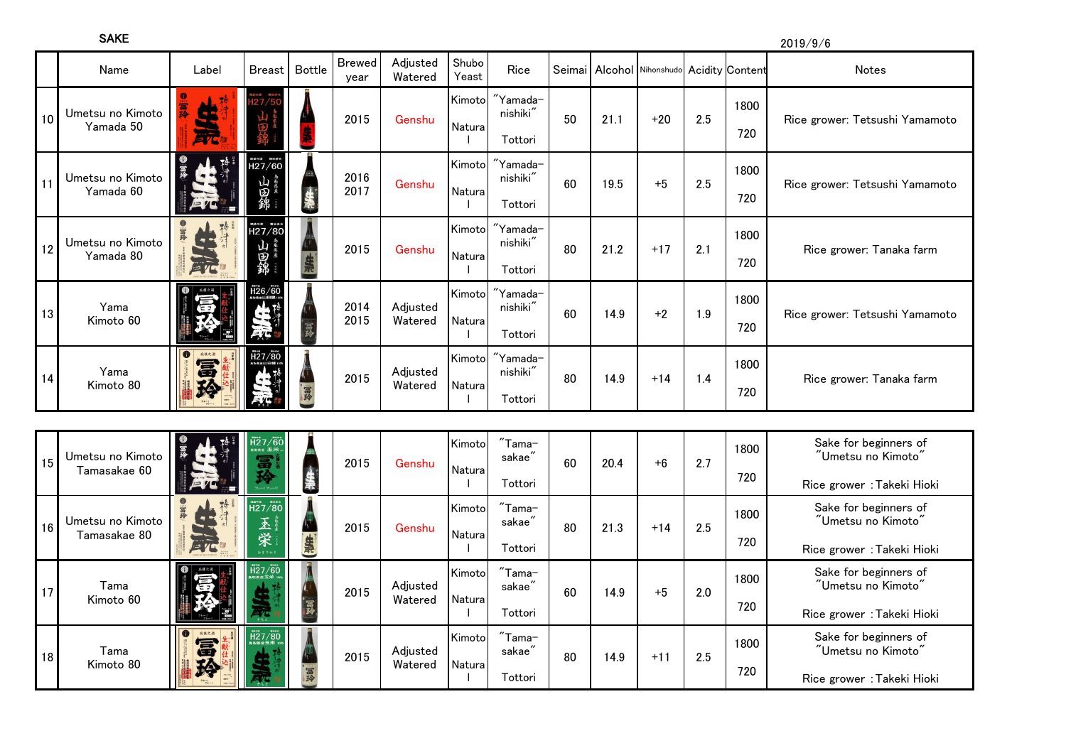SAKE

2019/9/6

|                 | Name                          | Label      | <b>Breast</b>        | <b>Bottle</b> | <b>Brewed</b><br>year | Adjusted<br>Watered | Shubo<br>Yeast    | Rice                              |    |      | Seimai   Alcohol   Nihonshudo   Acidity Content |     |             | Notes                          |
|-----------------|-------------------------------|------------|----------------------|---------------|-----------------------|---------------------|-------------------|-----------------------------------|----|------|-------------------------------------------------|-----|-------------|--------------------------------|
| 10 <sup>1</sup> | Umetsu no Kimoto<br>Yamada 50 | 集<br>冨玲    |                      |               | 2015                  | Genshu              | Kimoto<br>Natural | "Yamada-<br>nishiki"<br>Tottori   | 50 | 21.1 | $+20$                                           | 2.5 | 1800<br>720 | Rice grower: Tetsushi Yamamoto |
| 11              | Umetsu no Kimoto<br>Yamada 60 |            | H27/60<br>山田錦        | 录             | 2016<br>2017          | Genshu              | Kimoto<br>Natural | $"Yamada-$<br>nishiki"<br>Tottori | 60 | 19.5 | $+5$                                            | 2.5 | 1800<br>720 | Rice grower: Tetsushi Yamamoto |
| 12              | Umetsu no Kimoto<br>Yamada 80 | EIN        | **** ****<br>山<br>田錦 |               | 2015                  | Genshu              | Kimoto<br>Natura  | $"Yamada-$<br>nishiki"<br>Tottori | 80 | 21.2 | $+17$                                           | 2.1 | 1800<br>720 | Rice grower: Tanaka farm       |
| 13              | Yama<br>Kimoto 60             |            | H26/60               | 员好            | 2014<br>2015          | Adjusted<br>Watered | Kimoto<br>Natura  | $"Yamada-$<br>nishiki"<br>Tottori | 60 | 14.9 | $+2$                                            | 1.9 | 1800<br>720 | Rice grower: Tetsushi Yamamoto |
| 14              | Yama<br>Kimoto 80             | 応援之酒<br>富玲 | H27/80               |               | 2015                  | Adjusted<br>Watered | Kimoto<br>Natura  | $"Yamada-$<br>nishiki"<br>Tottori | 80 | 14.9 | $+14$                                           | 1.4 | 1800<br>720 | Rice grower: Tanaka farm       |

| 15 | Umetsu no Kimoto<br>Tamasakae 60 |           | H27/60<br>sess 玉栄.<br>富<br>ī4     | 巢  | 2015 | Genshu   | Kimoto<br>Natural | $"Tama-$<br>sakae´             | 60 | 20.4 | $+6$  | 2.7 | 1800<br>720 | Sake for beginners of<br>$\mathrm{''}$ Umetsu no Kimoto $\mathrm{''}$ |
|----|----------------------------------|-----------|-----------------------------------|----|------|----------|-------------------|--------------------------------|----|------|-------|-----|-------------|-----------------------------------------------------------------------|
|    |                                  |           |                                   |    |      |          |                   | Tottori                        |    |      |       |     |             | Rice grower: Takeki Hioki                                             |
| 16 | Umetsu no Kimoto                 |           | H27/80<br>玉                       |    | 2015 | Genshu   | Kimoto            | $"Tama-$<br>sakae <sup>r</sup> | 80 | 21.3 | $+14$ | 2.5 | 1800        | Sake for beginners of<br>$\mathrm{''}$ Umetsu no Kimoto $\mathrm{''}$ |
|    | Tamasakae 80                     | ET        | 栄<br>たまそかえ                        | \$ |      |          | Natura            | Tottori                        |    |      |       |     | 720         | Rice grower : Takeki Hioki                                            |
| 17 | Tama                             | 右援之酒      | $\overline{H27/60}$<br>鳥取県産玉栄 100 |    | 2015 | Adjusted | Kimoto            | $"Tama-$<br>sakae <sup>′</sup> | 60 | 14.9 | $+5$  | 2.0 | 1800        | Sake for beginners of<br>"Umetsu no Kimoto"                           |
|    | Kimoto 60                        |           |                                   | 長  |      | Watered  | Natural           | Tottori                        |    |      |       |     | 720         | Rice grower: Takeki Hioki                                             |
| 18 | Tama                             | 応援之酒<br>富 | H27/80                            |    | 2015 | Adjusted | Kimoto            | $"Tama-$<br>sakae´             | 80 | 14.9 | $+11$ | 2.5 | 1800        | Sake for beginners of<br>$\mathrm{''}$ Umetsu no Kimoto $\mathrm{''}$ |
|    | Kimoto 80                        |           |                                   |    |      | Watered  | Natural           | Tottori                        |    |      |       |     | 720         | Rice grower : Takeki Hioki                                            |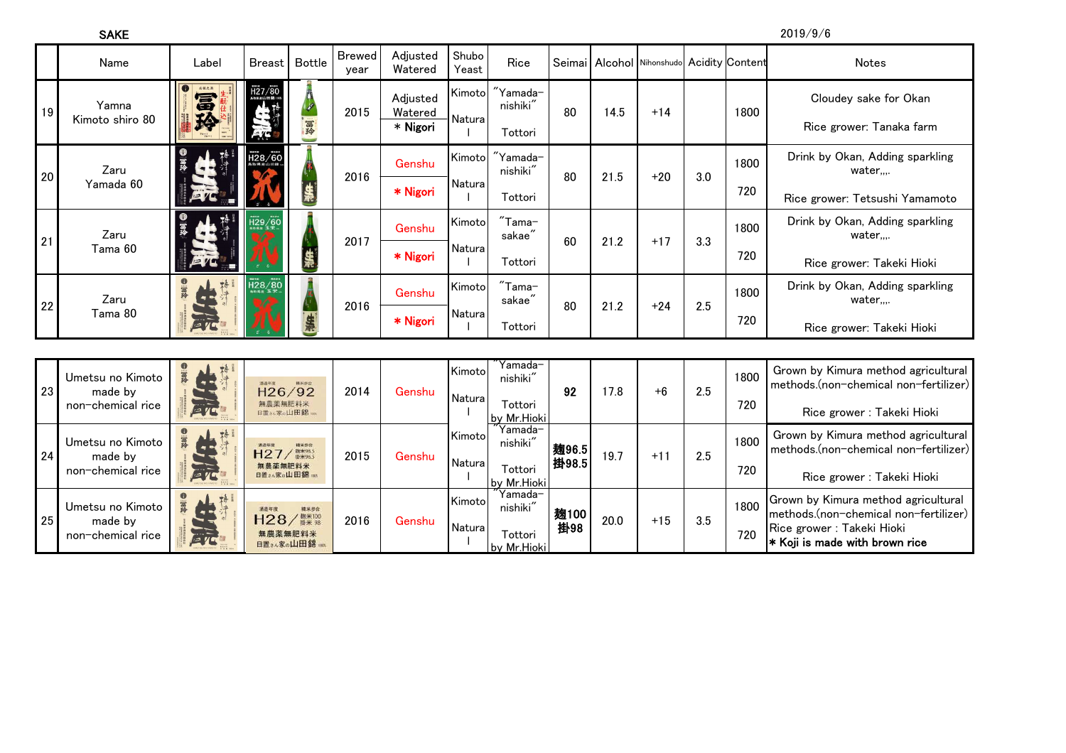|--|--|

2019/9/6

|    | Name                     | Label          | Breast                              | Bottle | <b>Brewed</b><br>year | Adjusted<br>Watered             | Shubo<br>Yeast    | Rice                   |    |      | Seimai   Alcohol Nihonshudo   Acidity Content |     |      | Notes                                             |
|----|--------------------------|----------------|-------------------------------------|--------|-----------------------|---------------------------------|-------------------|------------------------|----|------|-----------------------------------------------|-----|------|---------------------------------------------------|
| 19 | Yamna<br>Kimoto shiro 80 | 应援之酒<br>富玲     | H27/80<br>鳥取県産山田銀 100M              | 富玲     | 2015                  | Adjusted<br>Watered<br>* Nigori | Kimotol<br>Natura | "Yamada-<br>nishiki"   | 80 | 14.5 | $+14$                                         |     | 1800 | Cloudey sake for Okan<br>Rice grower: Tanaka farm |
|    |                          |                |                                     |        |                       |                                 |                   | Tottori                |    |      |                                               |     |      |                                                   |
| 20 | Zaru                     |                | H28/60<br><b>LIFE READ LIMITERS</b> |        | 2016                  | Genshu                          | Kimoto            | $"Yamada-$<br>nishiki" | 80 | 21.5 | $+20$                                         | 3.0 | 1800 | Drink by Okan, Adding sparkling<br>water          |
|    | Yamada 60                |                |                                     | 集      |                       | * Nigori                        | Natura            | Tottori                |    |      |                                               |     | 720  | Rice grower: Tetsushi Yamamoto                    |
|    | Zaru                     |                | 129/60                              |        |                       | Genshu                          | Kimoto            | $"Tama-$<br>sakae´     | 60 |      |                                               | 3.3 | 1800 | Drink by Okan, Adding sparkling<br>water          |
| 21 | Tama 60                  |                |                                     | 集      | 2017                  | * Nigori                        | Natura            | Tottori                |    | 21.2 | $+17$                                         |     | 720  | Rice grower: Takeki Hioki                         |
|    | Zaru                     | ●富玲<br>76      | H28/80                              |        | 2016                  | Genshu                          | Kimoto            | $"Tama-$<br>sakae´     | 80 |      |                                               |     | 1800 | Drink by Okan, Adding sparkling<br>water          |
| 22 | Tama 80                  | $=$ $\sqrt{2}$ |                                     |        |                       | * Nigori                        | Natura            | Tottori                |    | 21.2 | $+24$                                         | 2.5 | 720  | Rice grower: Takeki Hioki                         |

| 23 <sub>l</sub> | Umetsu no Kimoto<br>made by<br>non-chemical rice | 76<br>ETH              | 精米参合<br>酒造年度<br>H26/92<br>無農薬無肥料米<br>日置。或。山田錦、          | 2014 | Genshu | Kimotol<br>Natural       | Ύamada−<br>nishiki"<br>Tottori<br>by Mr.Hioki    | 92             | 17.8 | $+6$  | 2.5 | 1800<br>720 | Grown by Kimura method agricultural<br>methods.(non-chemical non-fertilizer)<br>Rice grower : Takeki Hioki                                          |
|-----------------|--------------------------------------------------|------------------------|---------------------------------------------------------|------|--------|--------------------------|--------------------------------------------------|----------------|------|-------|-----|-------------|-----------------------------------------------------------------------------------------------------------------------------------------------------|
| 24 <sup>1</sup> | Umetsu no Kimoto<br>made by<br>non-chemical rice | 76<br>$=$ $\bar{q}$    | 精米参会<br>酒造年度<br>H27/ #***5<br>無農薬無肥料米<br>日置 a ん家の山田錦 mx | 2015 | Genshu | Kimotol<br><b>Natura</b> | $"Yamada-$<br>nishiki"<br>Tottori<br>by Mr.Hioki | 麹96.5<br>掛98.5 | 19.7 | $+11$ | 2.5 | 1800<br>720 | Grown by Kimura method agricultural<br>methods.(non-chemical non-fertilizer)<br>Rice grower : Takeki Hioki                                          |
| 25 <sub>l</sub> | Umetsu no Kimoto<br>made by<br>non-chemical rice | 山格<br>$\bullet$<br>ETE | 精采参宫<br>酒造年度<br>H28/ #*100<br>無農薬無肥料米<br>日置きん家の山田錦      | 2016 | Genshu | Kimotol<br><b>Natura</b> | Yamada-<br>nishiki"<br>Tottori<br>by Mr.Hioki    | 麹100<br>掛98    | 20.0 | $+15$ | 3.5 | 1800<br>720 | Grown by Kimura method agricultural<br>methods.(non-chemical non-fertilizer)<br>Rice grower : Takeki Hioki<br><b>*</b> Koji is made with brown rice |